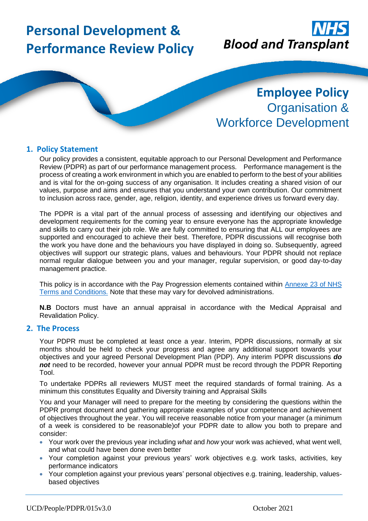# **Personal Development & Performance Review Policy**



## **Employee Policy** Organisation & Workforce Development

#### **1. Policy Statement**

Our policy provides a consistent, equitable approach to our Personal Development and Performance Review (PDPR) as part of our performance management process. Performance management is the process of creating a work environment in which you are enabled to perform to the best of your abilities and is vital for the on-going success of any organisation. It includes creating a shared vision of our values, purpose and aims and ensures that you understand your own contribution. Our commitment to inclusion across race, gender, age, religion, identity, and experience drives us forward every day.

The PDPR is a vital part of the annual process of assessing and identifying our objectives and development requirements for the coming year to ensure everyone has the appropriate knowledge and skills to carry out their job role. We are fully committed to ensuring that ALL our employees are supported and encouraged to achieve their best. Therefore, PDPR discussions will recognise both the work you have done and the behaviours you have displayed in doing so. Subsequently, agreed objectives will support our strategic plans, values and behaviours. Your PDPR should not replace normal regular dialogue between you and your manager, regular supervision, or good day-to-day management practice.

This policy is in accordance with the Pay Progression elements contained within [Annexe 23 of](https://www.nhsemployers.org/employershandbook/tchandbook/annex-23-pay-progression-england.pdf) NHS [Terms and Conditions.](https://www.nhsemployers.org/employershandbook/tchandbook/annex-23-pay-progression-england.pdf) Note that these may vary for devolved administrations.

**N.B** Doctors must have an annual appraisal in accordance with the Medical Appraisal and Revalidation Policy.

#### **2. The Process**

Your PDPR must be completed at least once a year. Interim, PDPR discussions, normally at six months should be held to check your progress and agree any additional support towards your objectives and your agreed Personal Development Plan (PDP). Any interim PDPR discussions *do not* need to be recorded, however your annual PDPR must be record through the PDPR Reporting Tool.

To undertake PDPRs all reviewers MUST meet the required standards of formal training. As a minimum this constitutes Equality and Diversity training and Appraisal Skills

You and your Manager will need to prepare for the meeting by considering the questions within the PDPR prompt document and gathering appropriate examples of your competence and achievement of objectives throughout the year. You will receive reasonable notice from your manager (a minimum of a week is considered to be reasonable)of your PDPR date to allow you both to prepare and consider:

- Your work over the previous year including *what* and *how* your work was achieved, what went well, and what could have been done even better
- Your completion against your previous years' work objectives e.g. work tasks, activities, key performance indicators
- Your completion against your previous years' personal objectives e.g. training, leadership, valuesbased objectives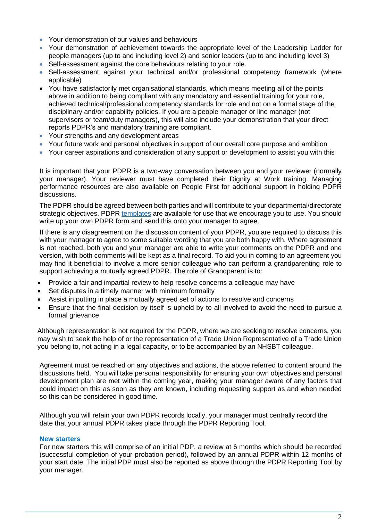- Your demonstration of our values and behaviours
- Your demonstration of achievement towards the appropriate level of the Leadership Ladder for people managers (up to and including level 2) and senior leaders (up to and including level 3)
- Self-assessment against the core behaviours relating to your role.
- Self-assessment against your technical and/or professional competency framework (where applicable)
- You have satisfactorily met organisational standards, which means meeting all of the points above in addition to being compliant with any mandatory and essential training for your role, achieved technical/professional competency standards for role and not on a formal stage of the disciplinary and/or capability policies. If you are a people manager or line manager (not supervisors or team/duty managers), this will also include your demonstration that your direct reports PDPR's and mandatory training are compliant.
- Your strengths and any development areas
- Your future work and personal objectives in support of our overall core purpose and ambition
- Your career aspirations and consideration of any support or development to assist you with this

It is important that your PDPR is a two-way conversation between you and your reviewer (normally your manager). Your reviewer must have completed their Dignity at Work training. Managing performance resources are also available on People First for additional support in holding PDPR discussions.

The PDPR should be agreed between both parties and will contribute to your departmental/directorate strategic objectives. PDPR [templates](https://peoplefirst.nhsbt.nhs.uk/pdp-induction-and-pdpr.htm) are available for use that we encourage you to use. You should write up your own PDPR form and send this onto your manager to agree.

If there is any disagreement on the discussion content of your PDPR, you are required to discuss this with your manager to agree to some suitable wording that you are both happy with. Where agreement is not reached, both you and your manager are able to write your comments on the PDPR and one version, with both comments will be kept as a final record. To aid you in coming to an agreement you may find it beneficial to involve a more senior colleague who can perform a grandparenting role to support achieving a mutually agreed PDPR. The role of Grandparent is to:

- Provide a fair and impartial review to help resolve concerns a colleague may have
- Set disputes in a timely manner with minimum formality
- Assist in putting in place a mutually agreed set of actions to resolve and concerns
- Ensure that the final decision by itself is upheld by to all involved to avoid the need to pursue a formal grievance

Although representation is not required for the PDPR, where we are seeking to resolve concerns, you may wish to seek the help of or the representation of a Trade Union Representative of a Trade Union you belong to, not acting in a legal capacity, or to be accompanied by an NHSBT colleague.

Agreement must be reached on any objectives and actions, the above referred to content around the discussions held. You will take personal responsibility for ensuring your own objectives and personal development plan are met within the coming year, making your manager aware of any factors that could impact on this as soon as they are known, including requesting support as and when needed so this can be considered in good time.

Although you will retain your own PDPR records locally, your manager must centrally record the date that your annual PDPR takes place through the PDPR Reporting Tool.

#### **New starters**

For new starters this will comprise of an initial PDP, a review at 6 months which should be recorded (successful completion of your probation period), followed by an annual PDPR within 12 months of your start date. The initial PDP must also be reported as above through the PDPR Reporting Tool by your manager.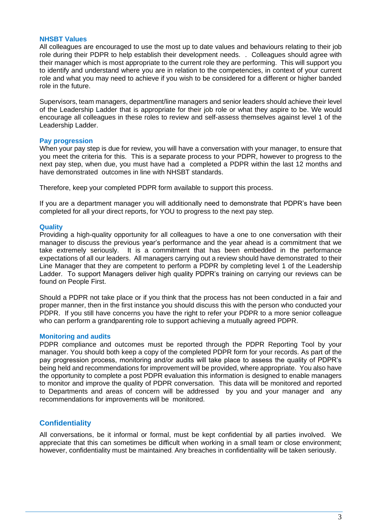#### **NHSBT Values**

All colleagues are encouraged to use the most up to date values and behaviours relating to their job role during their PDPR to help establish their development needs. . Colleagues should agree with their manager which is most appropriate to the current role they are performing. This will support you to identify and understand where you are in relation to the competencies, in context of your current role and what you may need to achieve if you wish to be considered for a different or higher banded role in the future.

Supervisors, team managers, department/line managers and senior leaders should achieve their level of the Leadership Ladder that is appropriate for their job role or what they aspire to be. We would encourage all colleagues in these roles to review and self-assess themselves against level 1 of the Leadership Ladder.

#### **Pay progression**

When your pay step is due for review, you will have a conversation with your manager, to ensure that you meet the criteria for this. This is a separate process to your PDPR, however to progress to the next pay step, when due, you must have had a completed a PDPR within the last 12 months and have demonstrated outcomes in line with NHSBT standards.

Therefore, keep your completed PDPR form available to support this process.

If you are a department manager you will additionally need to demonstrate that PDPR's have been completed for all your direct reports, for YOU to progress to the next pay step.

#### **Quality**

Providing a high-quality opportunity for all colleagues to have a one to one conversation with their manager to discuss the previous year's performance and the year ahead is a commitment that we take extremely seriously. It is a commitment that has been embedded in the performance expectations of all our leaders. All managers carrying out a review should have demonstrated to their Line Manager that they are competent to perform a PDPR by completing level 1 of the Leadership Ladder. To support Managers deliver high quality PDPR's training on carrying our reviews can be found on People First.

Should a PDPR not take place or if you think that the process has not been conducted in a fair and proper manner, then in the first instance you should discuss this with the person who conducted your PDPR. If you still have concerns you have the right to refer your PDPR to a more senior colleague who can perform a grandparenting role to support achieving a mutually agreed PDPR.

#### **Monitoring and audits**

PDPR compliance and outcomes must be reported through the PDPR Reporting Tool by your manager. You should both keep a copy of the completed PDPR form for your records. As part of the pay progression process, monitoring and/or audits will take place to assess the quality of PDPR's being held and recommendations for improvement will be provided, where appropriate. You also have the opportunity to complete a post PDPR evaluation this information is designed to enable managers to monitor and improve the quality of PDPR conversation. This data will be monitored and reported to Departments and areas of concern will be addressed by you and your manager and any recommendations for improvements will be monitored.

#### **Confidentiality**

All conversations, be it informal or formal, must be kept confidential by all parties involved. We appreciate that this can sometimes be difficult when working in a small team or close environment; however, confidentiality must be maintained. Any breaches in confidentiality will be taken seriously.